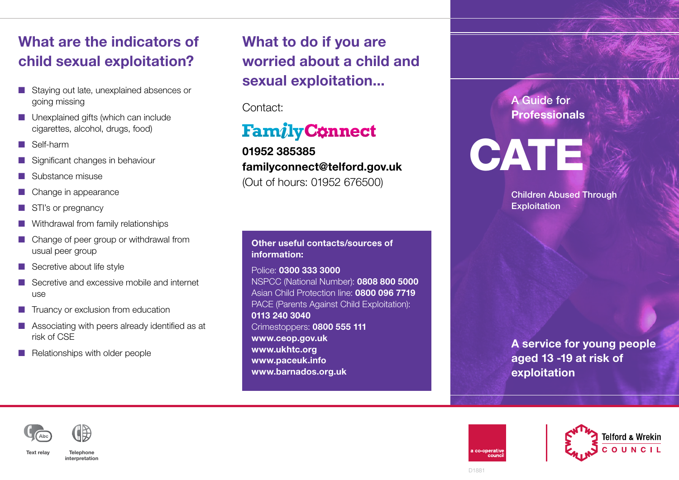## What are the indicators of child sexual exploitation?

- Staying out late, unexplained absences or going missing
- $\blacksquare$  Unexplained gifts (which can include cigarettes, alcohol, drugs, food)
- $\blacksquare$  Self-harm
- $\blacksquare$  Significant changes in behaviour
- $\blacksquare$  Substance misuse
- $\blacksquare$  Change in appearance
- $\blacksquare$  STI's or pregnancy
- $\blacksquare$  Withdrawal from family relationships
- $\blacksquare$  Change of peer group or withdrawal from usual peer group
- $\blacksquare$  Secretive about life style
- $\blacksquare$  Secretive and excessive mobile and internet use
- $\blacksquare$  Truancy or exclusion from education
- $\blacksquare$  Associating with peers already identified as at risk of CSE
- $\blacksquare$  Relationships with older people

What to do if you are worried about a child and sexual exploitation...

Contact:

## **Family Connect**

01952 385385 familyconnect@telford.gov.uk (Out of hours: 01952 676500)

Other useful contacts/sources of information:

Police: 0300 333 3000 NSPCC (National Number): 0808 800 5000 Asian Child Protection line: 0800 096 7719 PACE (Parents Against Child Exploitation): 0113 240 3040 Crimestoppers: 0800 555 111 www.ceop.gov.uk www.ukhtc.org www.paceuk.info www.barnados.org.uk

A Guide for **Professionals** 

**CATE** 

Children Abused Through **Exploitation** 

A service for young people aged 13 -19 at risk of exploitation



Text relay Telephone interpretation